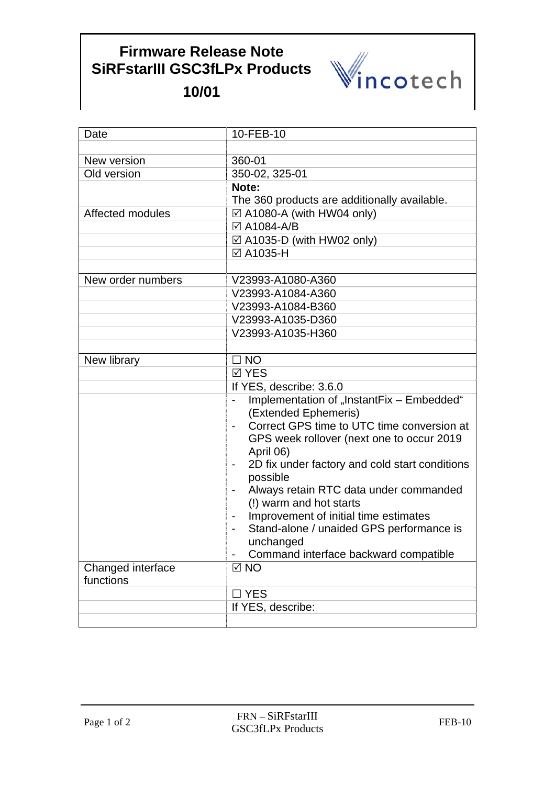## **Firmware Release Note SiRFstarIII GSC3fLPx Products**



**10/01**

| Date                           | 10-FEB-10                                                         |
|--------------------------------|-------------------------------------------------------------------|
|                                |                                                                   |
| New version                    | 360-01                                                            |
| Old version                    | 350-02, 325-01                                                    |
|                                | Note:                                                             |
|                                | The 360 products are additionally available.                      |
| Affected modules               | $\boxtimes$ A1080-A (with HW04 only)                              |
|                                | ☑ A1084-A/B                                                       |
|                                | $\boxtimes$ A1035-D (with HW02 only)                              |
|                                | ☑ A1035-H                                                         |
|                                |                                                                   |
| New order numbers              | V23993-A1080-A360                                                 |
|                                | V23993-A1084-A360                                                 |
|                                | V23993-A1084-B360                                                 |
|                                | V23993-A1035-D360                                                 |
|                                | V23993-A1035-H360                                                 |
|                                |                                                                   |
| New library                    | $\Box$ NO                                                         |
|                                | <b>⊠ YES</b>                                                      |
|                                | If YES, describe: 3.6.0                                           |
|                                | Implementation of "InstantFix - Embedded"<br>(Extended Ephemeris) |
|                                | Correct GPS time to UTC time conversion at                        |
|                                | GPS week rollover (next one to occur 2019<br>April 06)            |
|                                | 2D fix under factory and cold start conditions<br>-               |
|                                | possible                                                          |
|                                | Always retain RTC data under commanded                            |
|                                | (!) warm and hot starts                                           |
|                                | Improvement of initial time estimates                             |
|                                | Stand-alone / unaided GPS performance is<br>unchanged             |
|                                | Command interface backward compatible                             |
| Changed interface<br>functions | $\boxtimes$ NO                                                    |
|                                | $\Box$ YES                                                        |
|                                | If YES, describe:                                                 |
|                                |                                                                   |